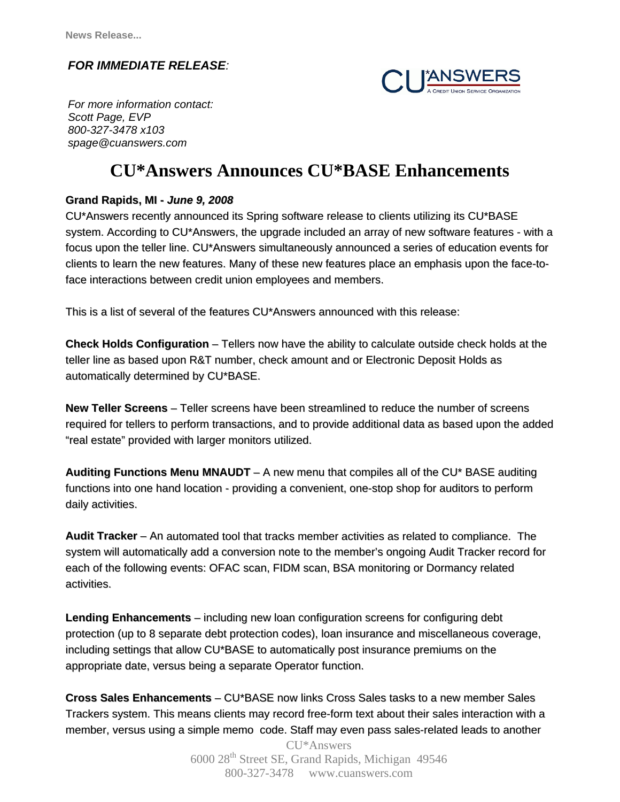## *FOR IMMEDIATE RELEASE:*



 *Scott Page, EVP For more information contact: 800-327-3478 x103 spage@cuanswers.com*

## **CU\*Answers Announces CU\*BASE Enhancements**

## **Grand Rapids, MI -** *June 9, 2008*

CU\*Answers recently announced its Spring software release to clients utilizing its CU\*BASE system. According to CU\*Answers, the upgrade included an array of new software features - with a focus upon the teller line. CU\*Answers simultaneously announced a series of education events for clients to learn the new features. Many of these new features place an emphasis upon the face-toface interactions between credit union employees and members.

This is a list of several of the features CU\*Answers announced with this release:

**Check Holds Configuration** – Tellers now have the ability to calculate outside check holds at the teller line as based upon R&T number, check amount and or Electronic Deposit Holds as automatically determined by CU\*BASE.

**New Teller Screens** – Teller screens have been streamlined to reduce the number of screens required for tellers to perform transactions, and to provide additional data as based upon the added "real estate" provided with larger monitors utilized.

**Auditing Functions Menu MNAUDT** – A new menu that compiles all of the CU\* BASE auditing functions into one hand location - providing a convenient, one-stop shop for auditors to perform daily activities.

**Audit Tracker** – An automated tool that tracks member activities as related to compliance. The system will automatically add a conversion note to the member's ongoing Audit Tracker record for each of the following events: OFAC scan, FIDM scan, BSA monitoring or Dormancy related activities.

**Lending Enhancements** – including new loan configuration screens for configuring debt protection (up to 8 separate debt protection codes), loan insurance and miscellaneous coverage, including settings that allow CU\*BASE to automatically post insurance premiums on the appropriate date, versus being a separate Operator function.

**Cross Sales Enhancements** – CU\*BASE now links Cross Sales tasks to a new member Sales Trackers system. This means clients may record free-form text about their sales interaction with a member, versus using a simple memo code. Staff may even pass sales-related leads to another

> CU\*Answers 6000 28th Street SE, Grand Rapids, Michigan 49546 800-327-3478 www.cuanswers.com